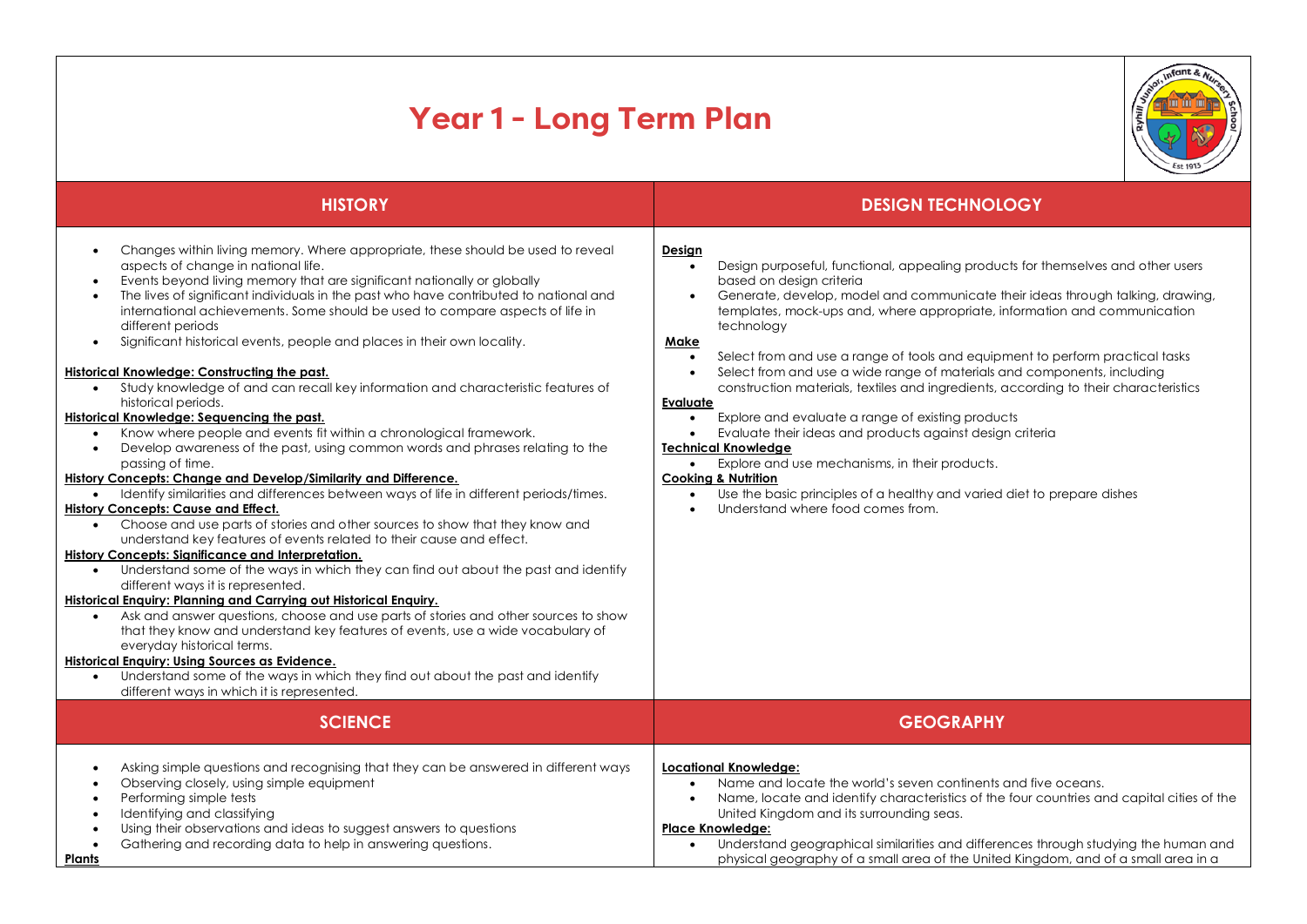## **Year 1 - Long Term Plan**



## **HISTORY DESIGN TECHNOLOGY**

| Changes within living memory. Where appropriate, these should be used to reveal<br>$\bullet$<br>aspects of change in national life.<br>Events beyond living memory that are significant nationally or globally<br>$\bullet$<br>The lives of significant individuals in the past who have contributed to national and<br>$\bullet$<br>international achievements. Some should be used to compare aspects of life in<br>different periods<br>Significant historical events, people and places in their own locality.<br>$\bullet$<br>Historical Knowledge: Constructing the past.<br>Study knowledge of and can recall key information and characteristic features of<br>$\bullet$<br>historical periods.<br>Historical Knowledge: Sequencing the past.<br>Know where people and events fit within a chronological framework.<br>$\bullet$<br>Develop awareness of the past, using common words and phrases relating to the<br>$\bullet$<br>passing of time.<br>History Concepts: Change and Develop/Similarity and Difference.<br>Identify similarities and differences between ways of life in different periods/times.<br><b>History Concepts: Cause and Effect.</b><br>Choose and use parts of stories and other sources to show that they know and<br>understand key features of events related to their cause and effect.<br>History Concepts: Significance and Interpretation.<br>Understand some of the ways in which they can find out about the past and identify<br>$\bullet$<br>different ways it is represented.<br>Historical Enquiry: Planning and Carrying out Historical Enquiry.<br>Ask and answer questions, choose and use parts of stories and other sources to show<br>that they know and understand key features of events, use a wide vocabulary of<br>everyday historical terms.<br><b>Historical Enquiry: Using Sources as Evidence.</b><br>Understand some of the ways in which they find out about the past and identify<br>$\bullet$<br>different ways in which it is represented. | Design<br>Design purposeful, functional, appealing products for themselves and other users<br>$\bullet$<br>based on design criteria<br>Generate, develop, model and communicate their ideas through talking, drawing,<br>$\bullet$<br>templates, mock-ups and, where appropriate, information and communication<br>technology<br>Make<br>Select from and use a range of tools and equipment to perform practical tasks<br>$\bullet$<br>Select from and use a wide range of materials and components, including<br>construction materials, textiles and ingredients, according to their characteristics<br><b>Evaluate</b><br>Explore and evaluate a range of existing products<br>$\bullet$<br>Evaluate their ideas and products against design criteria<br>$\bullet$<br><b>Technical Knowledge</b><br>Explore and use mechanisms, in their products.<br>$\bullet$<br><b>Cooking &amp; Nutrition</b><br>Use the basic principles of a healthy and varied diet to prepare dishes<br>Understand where food comes from. |
|---------------------------------------------------------------------------------------------------------------------------------------------------------------------------------------------------------------------------------------------------------------------------------------------------------------------------------------------------------------------------------------------------------------------------------------------------------------------------------------------------------------------------------------------------------------------------------------------------------------------------------------------------------------------------------------------------------------------------------------------------------------------------------------------------------------------------------------------------------------------------------------------------------------------------------------------------------------------------------------------------------------------------------------------------------------------------------------------------------------------------------------------------------------------------------------------------------------------------------------------------------------------------------------------------------------------------------------------------------------------------------------------------------------------------------------------------------------------------------------------------------------------------------------------------------------------------------------------------------------------------------------------------------------------------------------------------------------------------------------------------------------------------------------------------------------------------------------------------------------------------------------------------------------------------------------------------------------------------------------------------------------|----------------------------------------------------------------------------------------------------------------------------------------------------------------------------------------------------------------------------------------------------------------------------------------------------------------------------------------------------------------------------------------------------------------------------------------------------------------------------------------------------------------------------------------------------------------------------------------------------------------------------------------------------------------------------------------------------------------------------------------------------------------------------------------------------------------------------------------------------------------------------------------------------------------------------------------------------------------------------------------------------------------------|
| <b>SCIENCE</b>                                                                                                                                                                                                                                                                                                                                                                                                                                                                                                                                                                                                                                                                                                                                                                                                                                                                                                                                                                                                                                                                                                                                                                                                                                                                                                                                                                                                                                                                                                                                                                                                                                                                                                                                                                                                                                                                                                                                                                                                | <b>GEOGRAPHY</b>                                                                                                                                                                                                                                                                                                                                                                                                                                                                                                                                                                                                                                                                                                                                                                                                                                                                                                                                                                                                     |
| Asking simple questions and recognising that they can be answered in different ways<br>$\bullet$<br>Observing closely, using simple equipment<br>$\bullet$<br>Performing simple tests<br>$\bullet$<br>Identifying and classifying<br>$\bullet$<br>Using their observations and ideas to suggest answers to questions<br>$\bullet$<br>Gathering and recording data to help in answering questions.<br>$\bullet$<br>Plants                                                                                                                                                                                                                                                                                                                                                                                                                                                                                                                                                                                                                                                                                                                                                                                                                                                                                                                                                                                                                                                                                                                                                                                                                                                                                                                                                                                                                                                                                                                                                                                      | <b>Locational Knowledge:</b><br>Name and locate the world's seven continents and five oceans.<br>Name, locate and identify characteristics of the four countries and capital cities of the<br>United Kingdom and its surrounding seas.<br><b>Place Knowledge:</b><br>Understand geographical similarities and differences through studying the human and<br>physical geography of a small area of the United Kingdom, and of a small area in a                                                                                                                                                                                                                                                                                                                                                                                                                                                                                                                                                                       |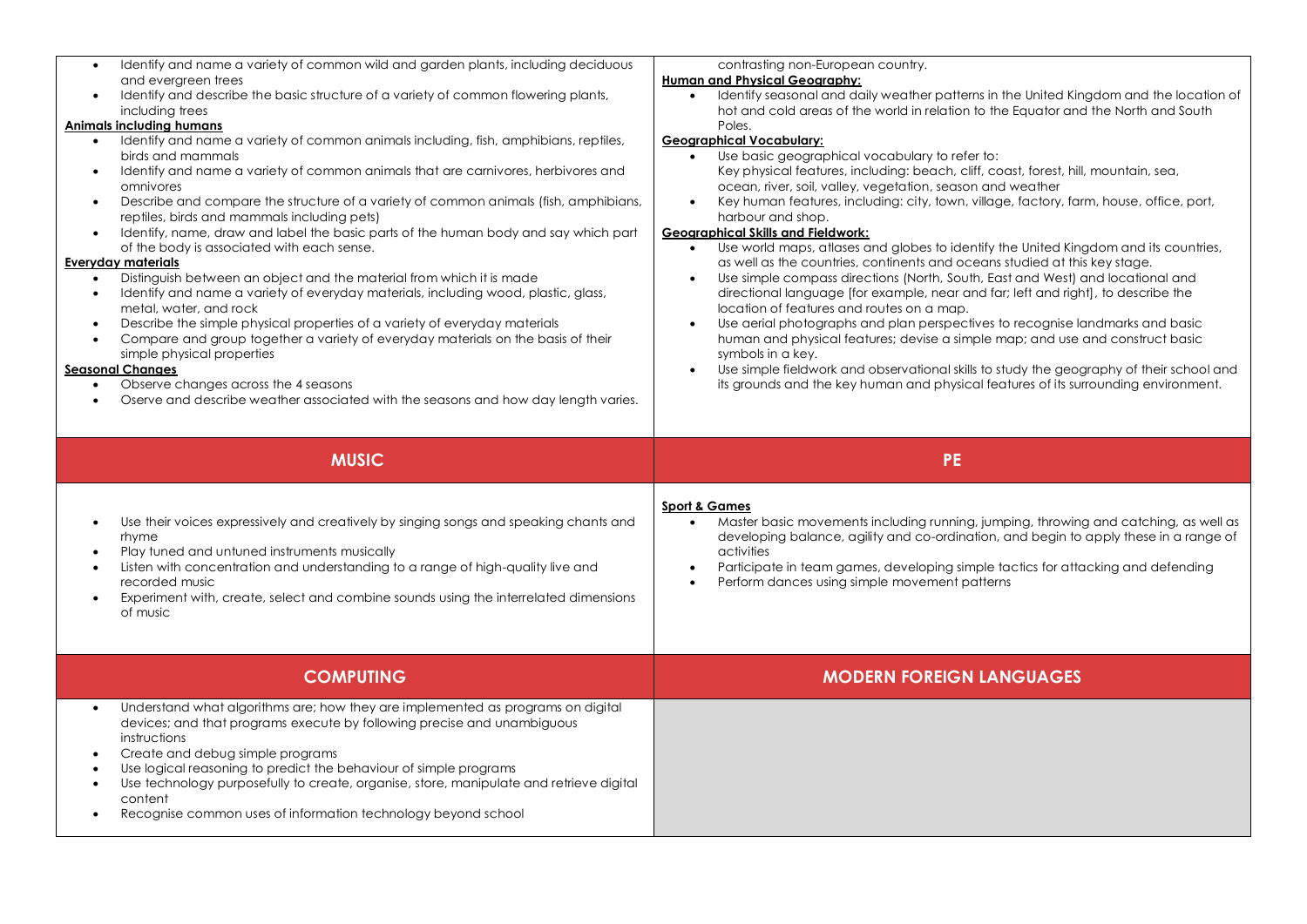| and evergreen trees<br>including trees<br><b>Animals including humans</b><br>birds and mammals<br>omnivores<br>Everyday materials<br>metal, water, and rock<br>simple physical properties<br><b>Seasonal Changes</b> | Identify and name a variety of common wild and garden plants, including deciduous<br>Identify and describe the basic structure of a variety of common flowering plants,<br>Identify and name a variety of common animals including, fish, amphibians, reptiles,<br>Identify and name a variety of common animals that are carnivores, herbivores and<br>Describe and compare the structure of a variety of common animals (fish, amphibians,<br>reptiles, birds and mammals including pets)<br>Identify, name, draw and label the basic parts of the human body and say which part<br>of the body is associated with each sense.<br>Distinguish between an object and the material from which it is made<br>Identify and name a variety of everyday materials, including wood, plastic, glass,<br>Describe the simple physical properties of a variety of everyday materials<br>Compare and group together a variety of everyday materials on the basis of their<br>Observe changes across the 4 seasons<br>Oserve and describe weather associated with the seasons and how day length varies. | contrasting non-European country.<br><b>Human and Physical Geography:</b><br>Identify seasonal and daily weather patterns in the United Kingdom and the location of<br>$\bullet$<br>hot and cold areas of the world in relation to the Equator and the North and South<br>Poles.<br><b>Geographical Vocabulary:</b><br>Use basic geographical vocabulary to refer to:<br>$\bullet$<br>Key physical features, including: beach, cliff, coast, forest, hill, mountain, sea,<br>ocean, river, soil, valley, vegetation, season and weather<br>Key human features, including: city, town, village, factory, farm, house, office, port,<br>harbour and shop.<br><b>Geographical Skills and Fieldwork:</b><br>Use world maps, atlases and globes to identify the United Kingdom and its countries,<br>as well as the countries, continents and oceans studied at this key stage.<br>Use simple compass directions (North, South, East and West) and locational and<br>directional language [for example, near and far; left and right], to describe the<br>location of features and routes on a map.<br>Use aerial photographs and plan perspectives to recognise landmarks and basic<br>human and physical features; devise a simple map; and use and construct basic<br>symbols in a key.<br>Use simple fieldwork and observational skills to study the geography of their school and<br>$\bullet$<br>its grounds and the key human and physical features of its surrounding environment. |
|----------------------------------------------------------------------------------------------------------------------------------------------------------------------------------------------------------------------|------------------------------------------------------------------------------------------------------------------------------------------------------------------------------------------------------------------------------------------------------------------------------------------------------------------------------------------------------------------------------------------------------------------------------------------------------------------------------------------------------------------------------------------------------------------------------------------------------------------------------------------------------------------------------------------------------------------------------------------------------------------------------------------------------------------------------------------------------------------------------------------------------------------------------------------------------------------------------------------------------------------------------------------------------------------------------------------------|---------------------------------------------------------------------------------------------------------------------------------------------------------------------------------------------------------------------------------------------------------------------------------------------------------------------------------------------------------------------------------------------------------------------------------------------------------------------------------------------------------------------------------------------------------------------------------------------------------------------------------------------------------------------------------------------------------------------------------------------------------------------------------------------------------------------------------------------------------------------------------------------------------------------------------------------------------------------------------------------------------------------------------------------------------------------------------------------------------------------------------------------------------------------------------------------------------------------------------------------------------------------------------------------------------------------------------------------------------------------------------------------------------------------------------------------------------------------------------------|
|                                                                                                                                                                                                                      |                                                                                                                                                                                                                                                                                                                                                                                                                                                                                                                                                                                                                                                                                                                                                                                                                                                                                                                                                                                                                                                                                                |                                                                                                                                                                                                                                                                                                                                                                                                                                                                                                                                                                                                                                                                                                                                                                                                                                                                                                                                                                                                                                                                                                                                                                                                                                                                                                                                                                                                                                                                                       |
|                                                                                                                                                                                                                      | <b>MUSIC</b>                                                                                                                                                                                                                                                                                                                                                                                                                                                                                                                                                                                                                                                                                                                                                                                                                                                                                                                                                                                                                                                                                   | <b>PE</b>                                                                                                                                                                                                                                                                                                                                                                                                                                                                                                                                                                                                                                                                                                                                                                                                                                                                                                                                                                                                                                                                                                                                                                                                                                                                                                                                                                                                                                                                             |
| rhyme<br>recorded music<br>of music                                                                                                                                                                                  | Use their voices expressively and creatively by singing songs and speaking chants and<br>Play tuned and untuned instruments musically<br>Listen with concentration and understanding to a range of high-quality live and<br>Experiment with, create, select and combine sounds using the interrelated dimensions                                                                                                                                                                                                                                                                                                                                                                                                                                                                                                                                                                                                                                                                                                                                                                               | <b>Sport &amp; Games</b><br>Master basic movements including running, jumping, throwing and catching, as well as<br>developing balance, agility and co-ordination, and begin to apply these in a range of<br>activities<br>Participate in team games, developing simple tactics for attacking and defending<br>Perform dances using simple movement patterns                                                                                                                                                                                                                                                                                                                                                                                                                                                                                                                                                                                                                                                                                                                                                                                                                                                                                                                                                                                                                                                                                                                          |
|                                                                                                                                                                                                                      | <b>COMPUTING</b>                                                                                                                                                                                                                                                                                                                                                                                                                                                                                                                                                                                                                                                                                                                                                                                                                                                                                                                                                                                                                                                                               | <b>MODERN FOREIGN LANGUAGES</b>                                                                                                                                                                                                                                                                                                                                                                                                                                                                                                                                                                                                                                                                                                                                                                                                                                                                                                                                                                                                                                                                                                                                                                                                                                                                                                                                                                                                                                                       |